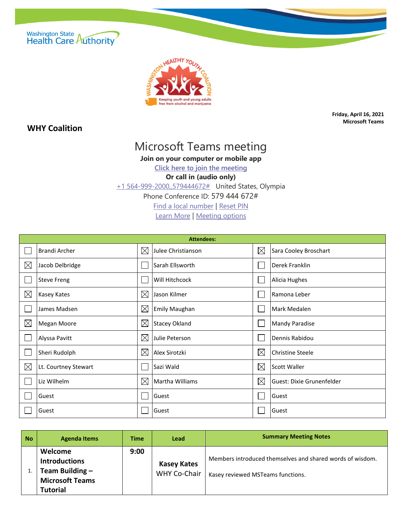



## **WHY Coalition**

**Friday, April 16, 2021 Microsoft Teams**

## Microsoft Teams meeting

**Join on your computer or mobile app**

**[Click here to join the meeting](https://teams.microsoft.com/l/meetup-join/19%3ameeting_ZjYxYWNhNzMtYTM3Ny00NGIwLTkyY2YtZDcxNDE0MWIyZjUw%40thread.v2/0?context=%7b%22Tid%22%3a%2211d0e217-264e-400a-8ba0-57dcc127d72d%22%2c%22Oid%22%3a%226617e925-bfa8-4690-986d-51b65e5feac9%22%7d)**

**Or call in (audio only)**

[+1 564-999-2000,,579444672#](tel:+15649992000,,579444672# ) United States, Olympia

Phone Conference ID: 579 444 672#

[Find a local number](https://dialin.teams.microsoft.com/811a9140-4f87-4b3b-b4e5-c0df12d33f3f?id=579444672) | [Reset PIN](https://mysettings.lync.com/pstnconferencing)

[Learn More](https://aka.ms/JoinTeamsMeeting) | [Meeting options](https://teams.microsoft.com/meetingOptions/?organizerId=6617e925-bfa8-4690-986d-51b65e5feac9&tenantId=11d0e217-264e-400a-8ba0-57dcc127d72d&threadId=19_meeting_ZjYxYWNhNzMtYTM3Ny00NGIwLTkyY2YtZDcxNDE0MWIyZjUw@thread.v2&messageId=0&language=en-US)

| <b>Attendees:</b> |                      |             |                        |             |                           |  |
|-------------------|----------------------|-------------|------------------------|-------------|---------------------------|--|
|                   | <b>Brandi Archer</b> | $\boxtimes$ | Julee Christianson     | $\times$    | Sara Cooley Broschart     |  |
| $\boxtimes$       | Jacob Delbridge      |             | <b>Sarah Ellsworth</b> |             | Derek Franklin            |  |
|                   | <b>Steve Freng</b>   |             | Will Hitchcock         |             | Alicia Hughes             |  |
| $\boxtimes$       | Kasey Kates          | $\boxtimes$ | Jason Kilmer           |             | Ramona Leber              |  |
|                   | James Madsen         | $\boxtimes$ | Emily Maughan          |             | Mark Medalen              |  |
| $\boxtimes$       | Megan Moore          | $\boxtimes$ | <b>Stacey Okland</b>   |             | <b>Mandy Paradise</b>     |  |
|                   | Alyssa Pavitt        | $\boxtimes$ | Julie Peterson         |             | Dennis Rabidou            |  |
|                   | Sheri Rudolph        | $\boxtimes$ | Alex Sirotzki          | $\boxtimes$ | Christine Steele          |  |
| $\boxtimes$       | Lt. Courtney Stewart |             | Sazi Wald              | $\boxtimes$ | Scott Waller              |  |
|                   | Liz Wilhelm          | $\boxtimes$ | Martha Williams        | $\boxtimes$ | Guest: Dixie Grunenfelder |  |
|                   | Guest                |             | Guest                  |             | Guest                     |  |
|                   | Guest                |             | Guest                  |             | Guest                     |  |

| No | <b>Agenda Items</b>                                                                             | Time | Lead                               | <b>Summary Meeting Notes</b>                                                                   |
|----|-------------------------------------------------------------------------------------------------|------|------------------------------------|------------------------------------------------------------------------------------------------|
|    | Welcome<br><b>Introductions</b><br>Team Building -<br><b>Microsoft Teams</b><br><b>Tutorial</b> | 9:00 | <b>Kasey Kates</b><br>WHY Co-Chair | Members introduced themselves and shared words of wisdom.<br>Kasey reviewed MSTeams functions. |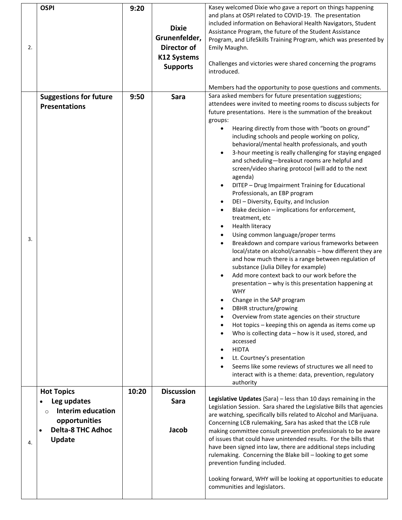|    | <b>OSPI</b>                           | 9:20  |                    | Kasey welcomed Dixie who gave a report on things happening           |
|----|---------------------------------------|-------|--------------------|----------------------------------------------------------------------|
|    |                                       |       |                    | and plans at OSPI related to COVID-19. The presentation              |
|    |                                       |       |                    | included information on Behavioral Health Navigators, Student        |
|    |                                       |       | <b>Dixie</b>       | Assistance Program, the future of the Student Assistance             |
|    |                                       |       | Grunenfelder,      | Program, and LifeSkills Training Program, which was presented by     |
| 2. |                                       |       | <b>Director of</b> | Emily Maughn.                                                        |
|    |                                       |       | <b>K12 Systems</b> |                                                                      |
|    |                                       |       |                    | Challenges and victories were shared concerning the programs         |
|    |                                       |       | <b>Supports</b>    | introduced.                                                          |
|    |                                       |       |                    |                                                                      |
|    |                                       |       |                    | Members had the opportunity to pose questions and comments.          |
|    | <b>Suggestions for future</b>         | 9:50  | Sara               | Sara asked members for future presentation suggestions;              |
|    |                                       |       |                    | attendees were invited to meeting rooms to discuss subjects for      |
|    | <b>Presentations</b>                  |       |                    | future presentations. Here is the summation of the breakout          |
|    |                                       |       |                    | groups:                                                              |
|    |                                       |       |                    | Hearing directly from those with "boots on ground"                   |
|    |                                       |       |                    | including schools and people working on policy,                      |
|    |                                       |       |                    | behavioral/mental health professionals, and youth                    |
|    |                                       |       |                    |                                                                      |
|    |                                       |       |                    | 3-hour meeting is really challenging for staying engaged             |
|    |                                       |       |                    | and scheduling-breakout rooms are helpful and                        |
|    |                                       |       |                    | screen/video sharing protocol (will add to the next                  |
|    |                                       |       |                    | agenda)                                                              |
|    |                                       |       |                    | DITEP - Drug Impairment Training for Educational                     |
|    |                                       |       |                    | Professionals, an EBP program                                        |
|    |                                       |       |                    | DEI-Diversity, Equity, and Inclusion<br>$\bullet$                    |
|    |                                       |       |                    | Blake decision - implications for enforcement,<br>$\bullet$          |
|    |                                       |       |                    | treatment, etc                                                       |
|    |                                       |       |                    | <b>Health literacy</b>                                               |
| 3. |                                       |       |                    | Using common language/proper terms                                   |
|    |                                       |       |                    | Breakdown and compare various frameworks between                     |
|    |                                       |       |                    | local/state on alcohol/cannabis - how different they are             |
|    |                                       |       |                    | and how much there is a range between regulation of                  |
|    |                                       |       |                    | substance (Julia Dilley for example)                                 |
|    |                                       |       |                    | Add more context back to our work before the                         |
|    |                                       |       |                    | presentation - why is this presentation happening at                 |
|    |                                       |       |                    | <b>WHY</b>                                                           |
|    |                                       |       |                    | Change in the SAP program<br>٠                                       |
|    |                                       |       |                    | DBHR structure/growing                                               |
|    |                                       |       |                    | Overview from state agencies on their structure<br>$\bullet$         |
|    |                                       |       |                    | Hot topics - keeping this on agenda as items come up<br>$\bullet$    |
|    |                                       |       |                    | Who is collecting data $-$ how is it used, stored, and               |
|    |                                       |       |                    | accessed                                                             |
|    |                                       |       |                    | <b>HIDTA</b>                                                         |
|    |                                       |       |                    | Lt. Courtney's presentation                                          |
|    |                                       |       |                    | Seems like some reviews of structures we all need to                 |
|    |                                       |       |                    | interact with is a theme: data, prevention, regulatory               |
|    |                                       |       |                    | authority                                                            |
|    | <b>Hot Topics</b>                     | 10:20 | <b>Discussion</b>  |                                                                      |
|    | Leg updates                           |       | Sara               | Legislative Updates (Sara) - less than 10 days remaining in the      |
|    | <b>Interim education</b><br>$\circ$   |       |                    | Legislation Session. Sara shared the Legislative Bills that agencies |
|    |                                       |       |                    | are watching, specifically bills related to Alcohol and Marijuana.   |
|    | opportunities                         |       |                    | Concerning LCB rulemaking, Sara has asked that the LCB rule          |
|    | <b>Delta-8 THC Adhoc</b><br>$\bullet$ |       | Jacob              | making committee consult prevention professionals to be aware        |
| 4. | Update                                |       |                    | of issues that could have unintended results. For the bills that     |
|    |                                       |       |                    | have been signed into law, there are additional steps including      |
|    |                                       |       |                    | rulemaking. Concerning the Blake bill - looking to get some          |
|    |                                       |       |                    | prevention funding included.                                         |
|    |                                       |       |                    |                                                                      |
|    |                                       |       |                    | Looking forward, WHY will be looking at opportunities to educate     |
|    |                                       |       |                    | communities and legislators.                                         |
|    |                                       |       |                    |                                                                      |